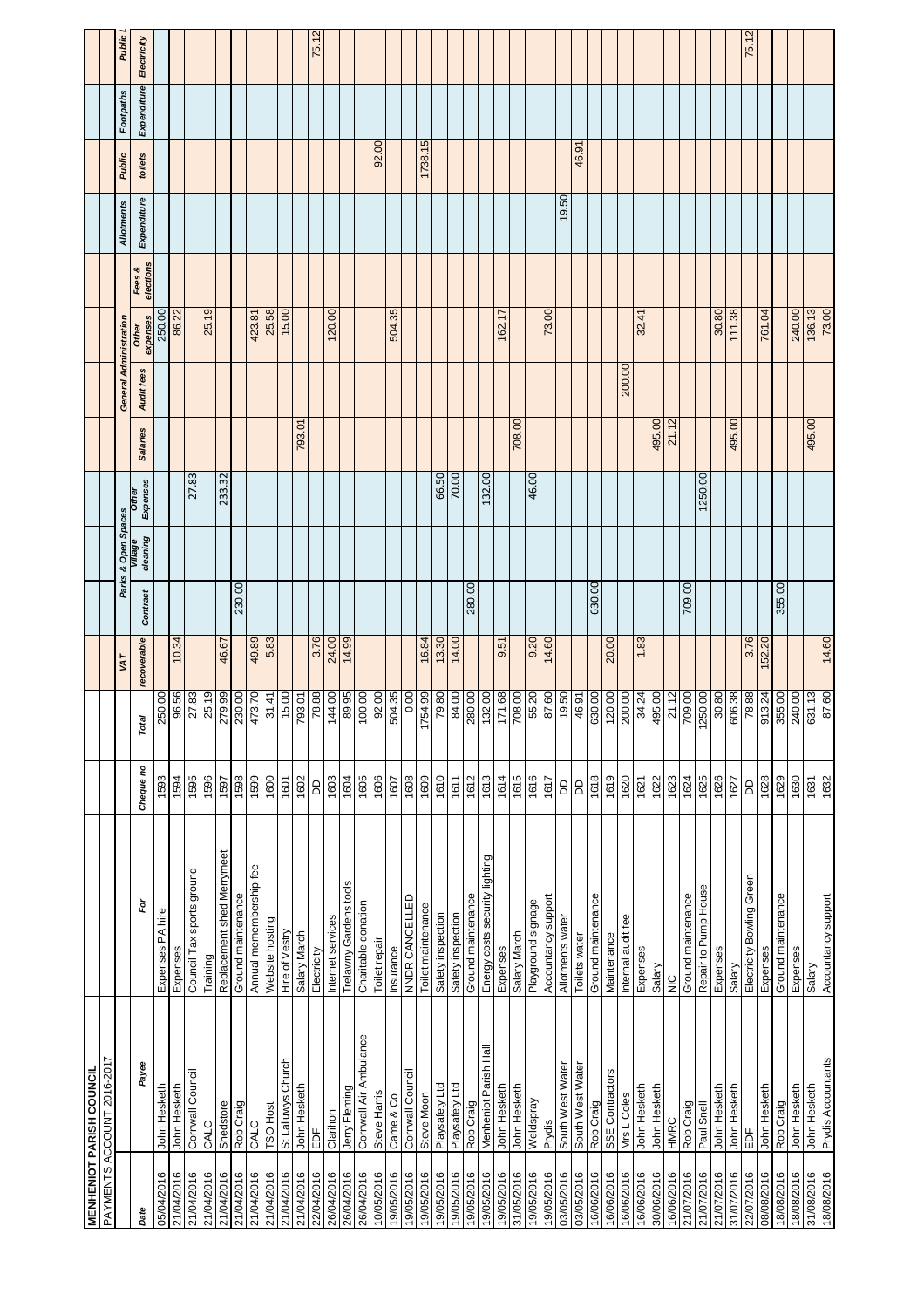|            | <b>MENHENIOT PARISH COUNCIL</b>   |                                |           |                           |             |          |                     |                   |                 |                        |                   |                     |                   |         |             |             |
|------------|-----------------------------------|--------------------------------|-----------|---------------------------|-------------|----------|---------------------|-------------------|-----------------|------------------------|-------------------|---------------------|-------------------|---------|-------------|-------------|
|            | <b>FAYMENTS ACCOUNT 2016-2017</b> |                                |           |                           |             |          |                     |                   |                 |                        |                   |                     |                   |         |             |             |
|            |                                   |                                |           |                           | VAT         |          | Parks & Open Spaces |                   |                 | General Administration |                   |                     | <b>Allotments</b> | Public  | Footpaths   | Public      |
| Date       | Payee                             | è                              | Cheque no | Total                     | recoverable | Contract | cleaning<br>Village | Expenses<br>Other | <b>Salaries</b> | Audit fees             | expenses<br>Other | elections<br>Fees & | Expenditure       | toilets | Expenditure | Electricity |
| 05/04/2016 | John Hesketh                      | Expenses PA hire               | 1593      | 250.00                    |             |          |                     |                   |                 |                        | 250.00            |                     |                   |         |             |             |
| 21/04/2016 | John Hesketh                      | Expenses                       | 1594      | 96.56                     | 10.34       |          |                     |                   |                 |                        | 86.22             |                     |                   |         |             |             |
| 21/04/2016 | Cornwall Council                  | Council Tax sports ground      | 1595      | 27.83                     |             |          |                     | 27.83             |                 |                        |                   |                     |                   |         |             |             |
| 21/04/2016 | CALC                              | Training                       | 1596      | 25.19                     |             |          |                     |                   |                 |                        | 25.19             |                     |                   |         |             |             |
| 21/04/2016 | Shedstore                         | Replacement shed Merrymeet     | 1597      | 279.99                    | 46.67       |          |                     | 233.32            |                 |                        |                   |                     |                   |         |             |             |
| 21/04/2016 | Rob Craig                         | Ground maintenance             | 1598      | 230.00                    |             | 230.00   |                     |                   |                 |                        |                   |                     |                   |         |             |             |
| 21/04/2016 | CALC                              | Annual memembership fee        | 1599      | 473.70                    | 49.89       |          |                     |                   |                 |                        | 423.81            |                     |                   |         |             |             |
| 21/04/2016 | <b>TSO Host</b>                   | Website hosting                | 1600      | 31.41                     | 5.83        |          |                     |                   |                 |                        | 25.58             |                     |                   |         |             |             |
| 21/04/2016 | St Lalluwys Church                | Hire of Vestry                 | 1601      | 15.00                     |             |          |                     |                   |                 |                        | 15.00             |                     |                   |         |             |             |
| 21/04/2016 | John Hesketh                      | Salary March                   | 1602      | 793.01                    |             |          |                     |                   | 793.01          |                        |                   |                     |                   |         |             |             |
| 22/04/2016 | EDF                               | Electricity                    | G         | 78.88                     | 3.76        |          |                     |                   |                 |                        |                   |                     |                   |         |             | 75.12       |
| 26/04/2016 | Clarihon                          | Internet services              | 1603      | 144.00<br>89.95<br>100.00 | 24.00       |          |                     |                   |                 |                        | 120.00            |                     |                   |         |             |             |
| 26/04/2016 | Jerry Fleming                     | Trelawny Gardens tools         | 1604      |                           | 14.99       |          |                     |                   |                 |                        |                   |                     |                   |         |             |             |
| 26/04/2016 | Cornwall Air Ambulance            | Charitable donation            | 1605      |                           |             |          |                     |                   |                 |                        |                   |                     |                   |         |             |             |
| 10/05/2016 | Steve Harris                      | Toilet repair                  | 1606      | 92.00                     |             |          |                     |                   |                 |                        |                   |                     |                   | 92.00   |             |             |
| 19/05/2016 | Came & Co                         | Insurance                      | 1607      | 504.35                    |             |          |                     |                   |                 |                        | 504.35            |                     |                   |         |             |             |
| 19/05/2016 | Cornwall Council                  | NNDR CANCELLED                 | 1608      | 0.00                      |             |          |                     |                   |                 |                        |                   |                     |                   |         |             |             |
| 19/05/2016 | Steve Moon                        | Toilet maintenance             | 1609      | 1754.99                   | 16.84       |          |                     |                   |                 |                        |                   |                     |                   | 1738.15 |             |             |
| 19/05/2016 | Playsafety Ltd                    | Safety inspection              | 1610      | $\frac{79.80}{84.00}$     | 13.30       |          |                     | 66.50             |                 |                        |                   |                     |                   |         |             |             |
| 19/05/2016 | Playsafety Ltd                    | Safety inspection              | 1611      |                           | 14.00       |          |                     | 70.00             |                 |                        |                   |                     |                   |         |             |             |
| 19/05/2016 | Rob Craig                         | Ground maintenance             | 1612      | $\frac{1}{280.00}$        |             | 280.00   |                     |                   |                 |                        |                   |                     |                   |         |             |             |
| 19/05/2016 | Menheniot Parish Hal              | Energy costs security lighting | 1613      | 132.00                    |             |          |                     | 132.00            |                 |                        |                   |                     |                   |         |             |             |
| 19/05/2016 | John Hesketh                      | Expenses                       | 1614      | 89'11                     | 9.51        |          |                     |                   |                 |                        | 162.17            |                     |                   |         |             |             |
| 31/05/2016 | John Hesketh                      | Salary March                   | 1615      | 708.00                    |             |          |                     |                   | 708.00          |                        |                   |                     |                   |         |             |             |
| 19/05/2016 | Weldspray                         | Playground signage             | 1616      | 55.20                     | 9.20        |          |                     | 46.00             |                 |                        |                   |                     |                   |         |             |             |
| 19/05/2016 | Prydis                            | Accountancy support            | 1617      | $\frac{87.60}{19.50}$     | 14.60       |          |                     |                   |                 |                        | 73.00             |                     |                   |         |             |             |
| 03/05/2016 | South West Water                  | Allotments water               | 6         |                           |             |          |                     |                   |                 |                        |                   |                     | 19.50             |         |             |             |
| 03/05/2016 | South West Water                  | Toilets water                  | G         | 46.91                     |             |          |                     |                   |                 |                        |                   |                     |                   | 46.91   |             |             |
| 16/06/2016 | Rob Craig                         | Ground maintenance             | 1618      | 630.00                    |             | 630.00   |                     |                   |                 |                        |                   |                     |                   |         |             |             |
| 16/06/2016 | SSE Contractors                   | Maintenance                    | 1619      | 120.00                    | 20.00       |          |                     |                   |                 |                        |                   |                     |                   |         |             |             |
| 16/06/2016 | Mrs L Coles                       | Internal audit fee             | 1620      | 200.00                    |             |          |                     |                   |                 | 200.00                 |                   |                     |                   |         |             |             |
| 16/06/2016 | John Hesketh                      | Expenses                       | 1621      | 34.24                     | 1.83        |          |                     |                   |                 |                        | 32.41             |                     |                   |         |             |             |
| 30/06/2016 | John Hesketh                      | Salary                         | 1622      | 495.00                    |             |          |                     |                   | 495.00          |                        |                   |                     |                   |         |             |             |
| 16/06/2016 | <b>ONNH</b>                       | $\frac{c}{\overline{z}}$       | 1623      | 21.12                     |             |          |                     |                   | 21.12           |                        |                   |                     |                   |         |             |             |
| 21/07/2016 | Rob Craig                         | Ground maintenance             | 1624      | 709.00                    |             | 709.00   |                     |                   |                 |                        |                   |                     |                   |         |             |             |
| 21/07/2016 | Paul Snell                        | Repair to Pump House           | 1625      | 1250.00                   |             |          |                     | 1250.00           |                 |                        |                   |                     |                   |         |             |             |
| 21/07/2016 | John Hesketh                      | Expenses                       | 1626      | 30.80                     |             |          |                     |                   |                 |                        | 30.80             |                     |                   |         |             |             |
| 31/07/2016 | John Hesketh                      | Salary                         | 1627      | 606.38                    |             |          |                     |                   | 495.00          |                        | 111.38            |                     |                   |         |             |             |
| 22/07/2016 | ĔĎF                               | Electricity Bowling Green      | 6         | 78.88                     | 3.76        |          |                     |                   |                 |                        |                   |                     |                   |         |             | 75.12       |
| 08/08/2016 | John Hesketh                      | Expenses                       | 1628      | 913.24                    | 52.20       |          |                     |                   |                 |                        | 761.04            |                     |                   |         |             |             |
| 18/08/2016 | Rob Craig                         | Ground maintenance             | 1629      | 355.00                    |             | 355.00   |                     |                   |                 |                        |                   |                     |                   |         |             |             |
| 18/08/2016 | John Hesketh                      | Expenses                       | 1630      | 240.00                    |             |          |                     |                   |                 |                        | 240.00            |                     |                   |         |             |             |
| 31/08/2016 | John Hesketh                      | Salary                         | 1631      | 631.13                    |             |          |                     |                   | 495.00          |                        | 136.13            |                     |                   |         |             |             |
| 18/08/2016 | Prydis Accountants                | Accountancy support            | 1632      | 87.60                     | 14.60       |          |                     |                   |                 |                        | 73.00             |                     |                   |         |             |             |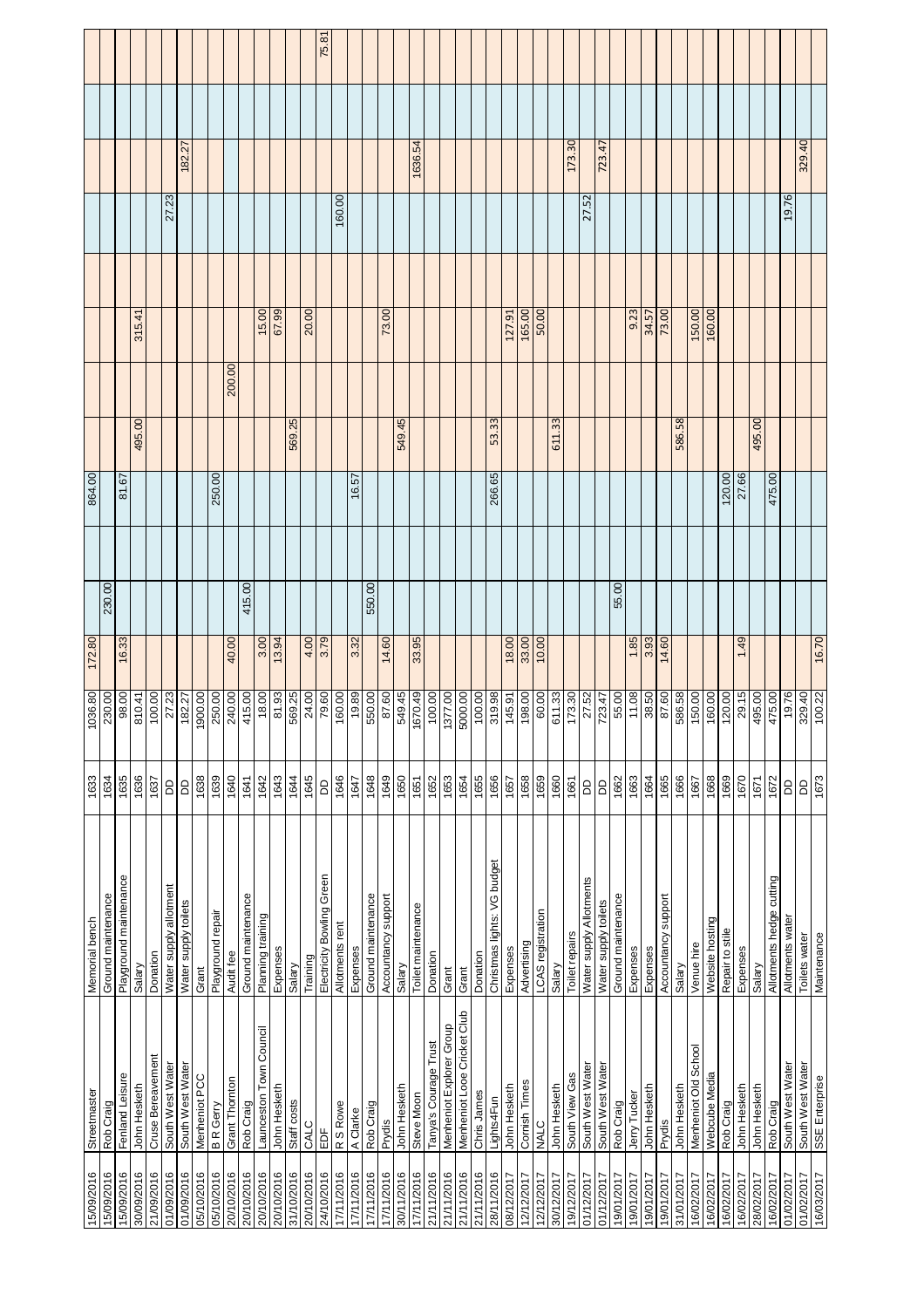| 15/09/2016 | Streetmaster                | Memorial bench              | 1633                | 08:900                      | 172.80 |        | 864.00              |                 |        |        |        |         |       |
|------------|-----------------------------|-----------------------------|---------------------|-----------------------------|--------|--------|---------------------|-----------------|--------|--------|--------|---------|-------|
| 15/09/2016 | Rob Craig                   | Ground maintenance          | 1634                | 230.00                      |        | 230.00 |                     |                 |        |        |        |         |       |
| 15/09/2016 | Fenland Leisure             | Playground maintenance      | 1635                | 98.00                       | 16.33  |        | 81.67               |                 |        |        |        |         |       |
| 30/09/2016 | John Hesketh                | Salary                      | 1636                | 310.41                      |        |        |                     | 495.00          |        | 315.41 |        |         |       |
| 21/09/2016 | Cruse Bereavement           | Donation                    | 1637                | 100.00                      |        |        |                     |                 |        |        |        |         |       |
| 01/09/2016 | South West Water            | Water supply allotment      | $\mathsf{D}$        |                             |        |        |                     |                 |        |        | 27.23  |         |       |
| 01/09/2016 | South West Water            | Water supply toilets        | 6                   | 27.23                       |        |        |                     |                 |        |        |        | 182.27  |       |
| 05/10/2016 | Menheniot PCC               | Grant                       | 1638                | 1900.00                     |        |        |                     |                 |        |        |        |         |       |
| 05/10/2016 | <b>BR</b> Gerry             | Playground repair           | 1639                | 250.00                      |        |        | 250.00              |                 |        |        |        |         |       |
| 20/10/2016 | Grant Thornton              | Audit fee                   | 1640                | 240.00                      | 40.00  |        |                     |                 | 200.00 |        |        |         |       |
| 20/10/2016 | Rob Craig                   | Ground maintenance          | 1641                | 415.00                      |        | 415.00 |                     |                 |        |        |        |         |       |
| 20/10/2016 | Launceston Town Council     | Planning training           | 1642                | 18.00                       | 3.00   |        |                     |                 |        | 15.00  |        |         |       |
| 20/10/2016 | John Hesketh                | Expenses                    | 1643                | $\overline{\frac{81.93}{}}$ | 13.94  |        |                     |                 |        | 67.99  |        |         |       |
| 31/10/2016 | Staff costs                 | Salary                      | 1644                | 569.25                      |        |        |                     |                 | 569.25 |        |        |         |       |
| 20/10/2016 | CALC                        | Training                    | 1645                | 24.00                       | 4.00   |        |                     |                 |        | 20.00  |        |         |       |
| 24/10/2016 | ΕDΕ                         | Electricity Bowling Green   | 6                   | 79.60                       | 3.79   |        |                     |                 |        |        |        |         | 75.8' |
| 7/11/2016  | R S Rowe                    | Allotments rent             | 1646                | 160.00                      |        |        |                     |                 |        |        | 160.00 |         |       |
| 7/11/2016  | A Clarke                    | Expenses                    | 1647                | 19.89                       | 3.32   |        | $\ddot{\mathrm{e}}$ | $\overline{57}$ |        |        |        |         |       |
| 7/11/2016  | Rob Craig                   | Ground maintenance          | 1648                | 550.00                      |        | 550.00 |                     |                 |        |        |        |         |       |
| 7/11/2016  | Prydis                      | Accountancy support         | 1649                | 87.60                       | 14.60  |        |                     |                 |        | 73.00  |        |         |       |
| 30/11/2016 | John Hesketh                | Salary                      | 1650                | 549.45                      |        |        |                     |                 | 549.45 |        |        |         |       |
| 7/11/2016  | Steve Moon                  | Toilet maintenance          | 1651                | 1670.49                     | 33.95  |        |                     |                 |        |        |        | 1636.54 |       |
| 21/11/2016 | Tanya's Courage Trust       | Donation                    |                     | 100.00                      |        |        |                     |                 |        |        |        |         |       |
| 21/11/2016 | Menheniot Explorer Group    | Grant                       | $\frac{1652}{1653}$ | 1377.00                     |        |        |                     |                 |        |        |        |         |       |
| 21/11/2016 | Menheniot Looe Cricket Club | Grant                       | 1654                | 5000.00                     |        |        |                     |                 |        |        |        |         |       |
| 21/11/2016 | Chris James                 | Donation                    | 1655                | 100.00                      |        |        |                     |                 |        |        |        |         |       |
| 28/11/2016 | Lights4Fun                  | Christmas lights: VG budget | 1656                | 319.98                      |        |        | 266.65              |                 | 53.33  |        |        |         |       |
| 08/12/2017 | John Hesketh                | Expenses                    | 1657                | 145.91                      | 18.00  |        |                     |                 |        | 127.91 |        |         |       |
| 2/12/2017  | Cornish Times               | Advertising                 | 1658                | 198.00                      | 33.00  |        |                     |                 |        | 165.00 |        |         |       |
| 12/12/2017 | NALC                        | LCAS registration           | 1659                | 60.00                       | 10.00  |        |                     |                 |        | 50.00  |        |         |       |
| 30/12/2017 | John Hesketh                | Salary                      | 1660                | 511.33                      |        |        |                     | 611.33          |        |        |        |         |       |
| 19/12/2017 | South View Gas              | Toilet repairs              | 1661                | $\frac{173.30}{ }$          |        |        |                     |                 |        |        |        | 173.30  |       |
| 01/12/2017 | South West Water            | Water supply Allotments     | ОO                  |                             |        |        |                     |                 |        |        | 27.52  |         |       |
| 01/12/2017 | South West Water            | Water supply toilets        | 6                   | $\frac{27.52}{723.47}$      |        |        |                     |                 |        |        |        | 723.47  |       |
| 19/01/2017 | Rob Craig                   | Ground maintenance          | 1662                |                             |        | 55.00  |                     |                 |        |        |        |         |       |
| 9/01/2017  | Jerry Tucker                | Expenses                    | 1663                | 11.08                       | 1.85   |        |                     |                 |        | 9.23   |        |         |       |
| 19/01/2017 | John Hesketh                | Expenses                    | 1664                | 38.50                       | 3.93   |        |                     |                 |        | 34.57  |        |         |       |
| 9/01/2017  | Prydis                      | Accountancy support         | 1665                | 87.60                       | 14.60  |        |                     |                 |        | 73.00  |        |         |       |
| 31/01/2017 | John Hesketh                | Salary                      | 1666                | 586.58                      |        |        |                     |                 | 586.58 |        |        |         |       |
| 102/2017   | Menheniot Old School        | Venue hire                  | 1667                | 150.00                      |        |        |                     |                 |        | 150.00 |        |         |       |
| 16/02/2017 | Webcube Media               | Website hosting             | 1668                | 160.00                      |        |        |                     |                 |        | 160.00 |        |         |       |
| 16/02/2017 | Rob Craig                   | Repair to stile             | 1669                | $\frac{120.00}{29.15}$      |        |        | 120.00              |                 |        |        |        |         |       |
| 6/02/2017  | John Hesketh                | Expenses                    | 1670                |                             | 1.49   |        | 27.66               |                 |        |        |        |         |       |
| 28/02/2017 | John Hesketh                | Salary                      | 1671                | 495.00                      |        |        |                     |                 | 495.00 |        |        |         |       |
| 6/02/2017  | Rob Craig                   | Allotments hedge cutting    | 1672                | 475.00                      |        |        | 475.00              |                 |        |        |        |         |       |
| 01/02/2017 | South West Water            | Allotments water            | <b>GO</b>           | 19.76                       |        |        |                     |                 |        |        | 19.76  |         |       |
| 01/02/2017 | South West Water            | Toilets water               | G                   | 329.40                      |        |        |                     |                 |        |        |        | 329.40  |       |
| 16/03/2017 | SSE Enterprise              | Maintenance                 | 1673                | 100.22                      | 16.70  |        |                     |                 |        |        |        |         |       |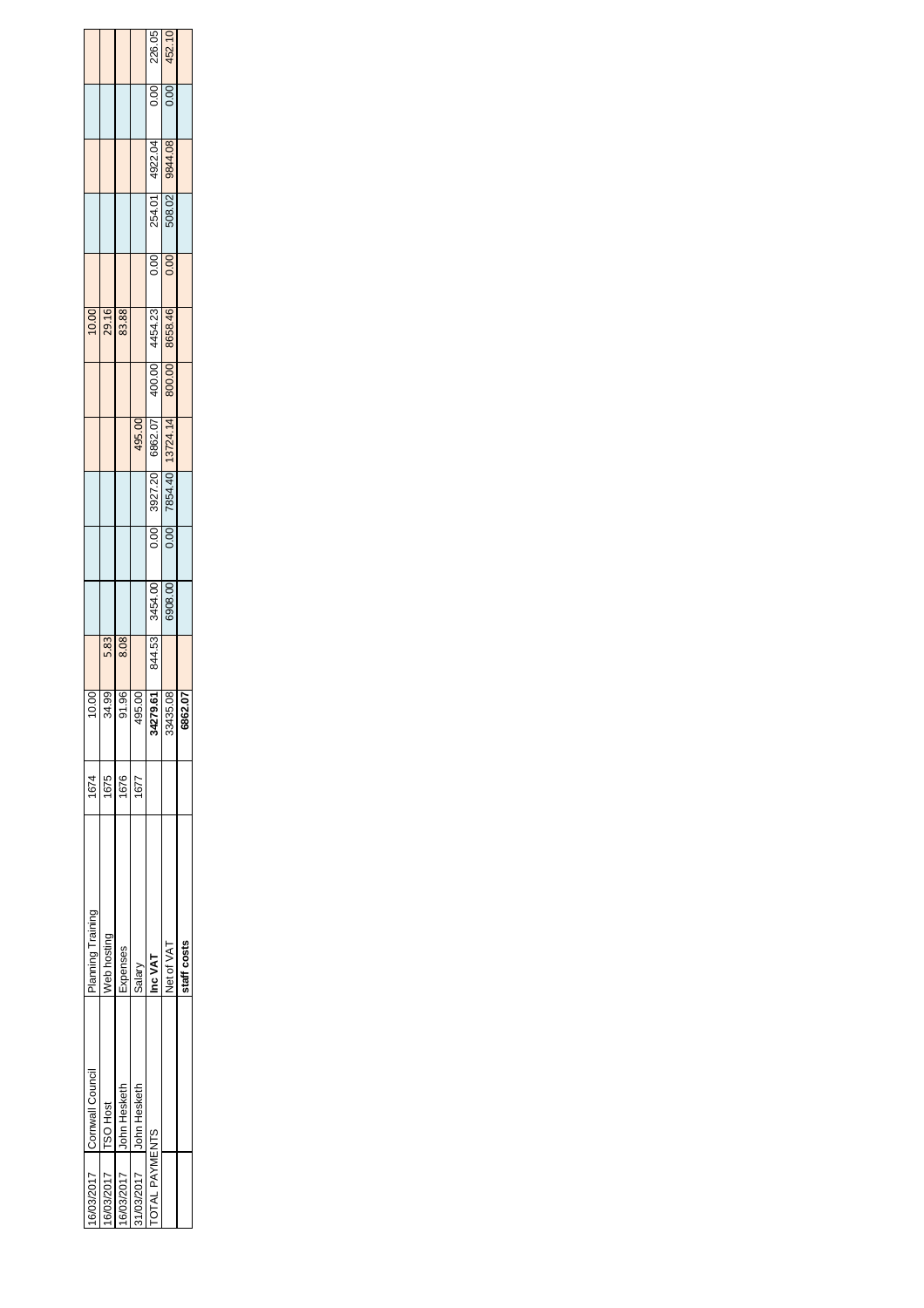|                       | 6/03/2017 Cornwall Council | Planning Training | 1674 | 0.00          |      |                |      |                       |                 |        | 10.00          |      |                |      |        |
|-----------------------|----------------------------|-------------------|------|---------------|------|----------------|------|-----------------------|-----------------|--------|----------------|------|----------------|------|--------|
| 6/03/2017             | <b>TSO Host</b>            | Neb hosting       | 1675 | 34.99         | 5.83 |                |      |                       |                 |        | 29.16          |      |                |      |        |
| 6/03/2017             | John Hesketh               | Expenses          | 1676 | <b>D61</b>    | 8.08 |                |      |                       |                 |        | 83.88          |      |                |      |        |
| 1/03/2017             | John Hesketh               | Salary            | 1677 | <b>95.00</b>  |      |                |      |                       | 495.00          |        |                |      |                |      |        |
| <b>TOTAL PAYMENTS</b> |                            | Inc VAT           |      | 34279.61      |      | 844.53 3454.00 | 0.00 |                       | 3927.20 6862.07 | 400.00 | 4454.23        | 0.00 | 254.01 4922.04 | 0.00 | 226.05 |
|                       |                            | Net of VAT        |      | 35.08<br>3343 |      | 6908.00        |      | 0.00 7854.40 13724.14 |                 |        | 800.00 8658.46 | 0.00 | 508.02 9844.08 | 0.00 | 452.10 |
|                       |                            | staff costs       |      | 62.07<br>88   |      |                |      |                       |                 |        |                |      |                |      |        |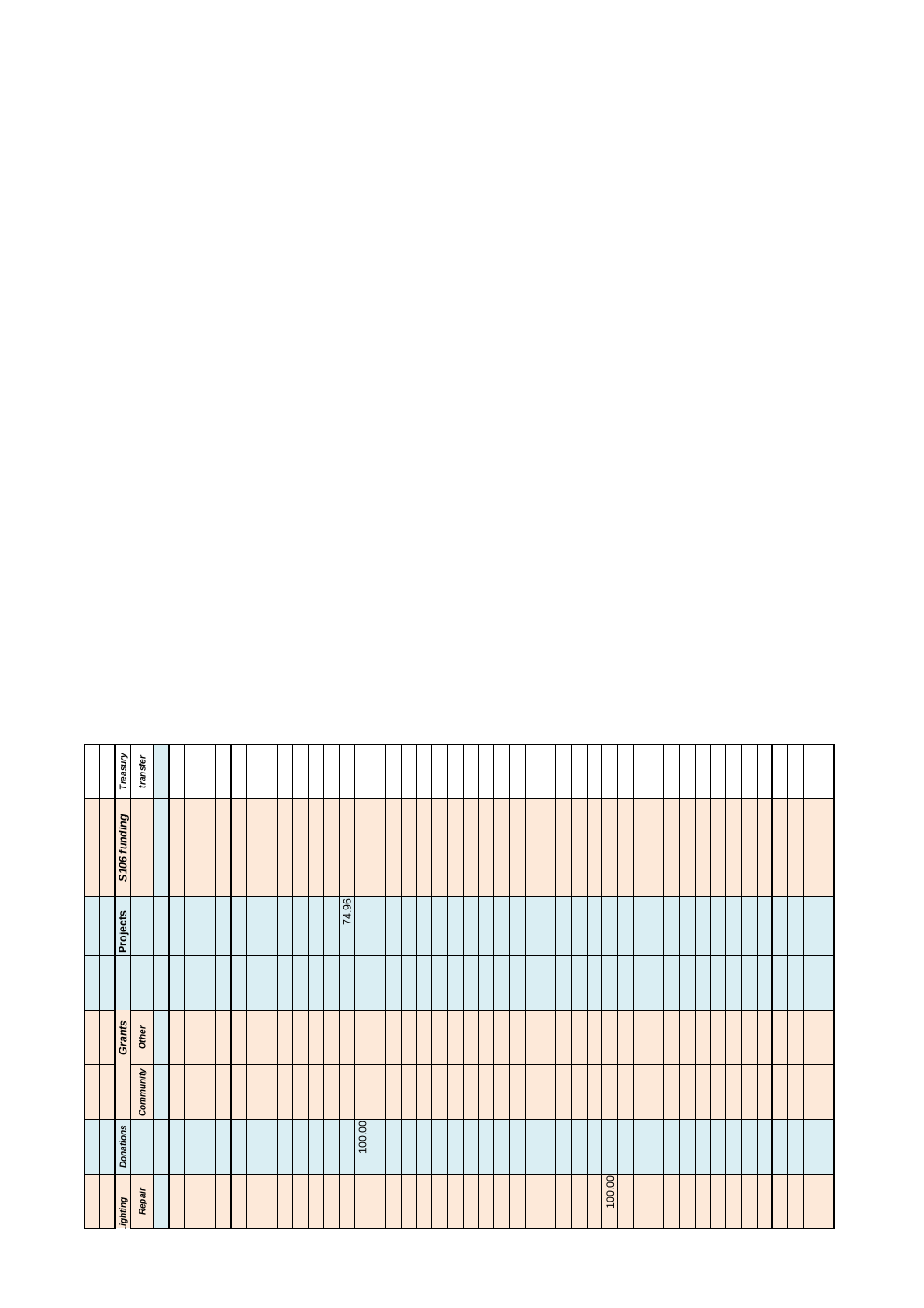| <b>Bunubr</b> | <b>Donations</b> |           | <b>Grants</b> | <b>Projects</b> | S106 funding | Treasury |
|---------------|------------------|-----------|---------------|-----------------|--------------|----------|
| Repair        |                  | Community | Other         |                 |              | transfer |
|               |                  |           |               |                 |              |          |
|               |                  |           |               |                 |              |          |
|               |                  |           |               |                 |              |          |
|               |                  |           |               |                 |              |          |
|               |                  |           |               |                 |              |          |
|               |                  |           |               |                 |              |          |
|               |                  |           |               |                 |              |          |
|               |                  |           |               |                 |              |          |
|               |                  |           |               |                 |              |          |
|               |                  |           |               |                 |              |          |
|               |                  |           |               |                 |              |          |
|               |                  |           |               |                 |              |          |
|               |                  |           |               | 74.96           |              |          |
|               | 00:00            |           |               |                 |              |          |
|               |                  |           |               |                 |              |          |
|               |                  |           |               |                 |              |          |
|               |                  |           |               |                 |              |          |
|               |                  |           |               |                 |              |          |
|               |                  |           |               |                 |              |          |
|               |                  |           |               |                 |              |          |
|               |                  |           |               |                 |              |          |
|               |                  |           |               |                 |              |          |
|               |                  |           |               |                 |              |          |
|               |                  |           |               |                 |              |          |
|               |                  |           |               |                 |              |          |
|               |                  |           |               |                 |              |          |
|               |                  |           |               |                 |              |          |
|               |                  |           |               |                 |              |          |
|               |                  |           |               |                 |              |          |
| 100.00        |                  |           |               |                 |              |          |
|               |                  |           |               |                 |              |          |
|               |                  |           |               |                 |              |          |
|               |                  |           |               |                 |              |          |
|               |                  |           |               |                 |              |          |
|               |                  |           |               |                 |              |          |
|               |                  |           |               |                 |              |          |
|               |                  |           |               |                 |              |          |
|               |                  |           |               |                 |              |          |
|               |                  |           |               |                 |              |          |
|               |                  |           |               |                 |              |          |
|               |                  |           |               |                 |              |          |
|               |                  |           |               |                 |              |          |
|               |                  |           |               |                 |              |          |
|               |                  |           |               |                 |              |          |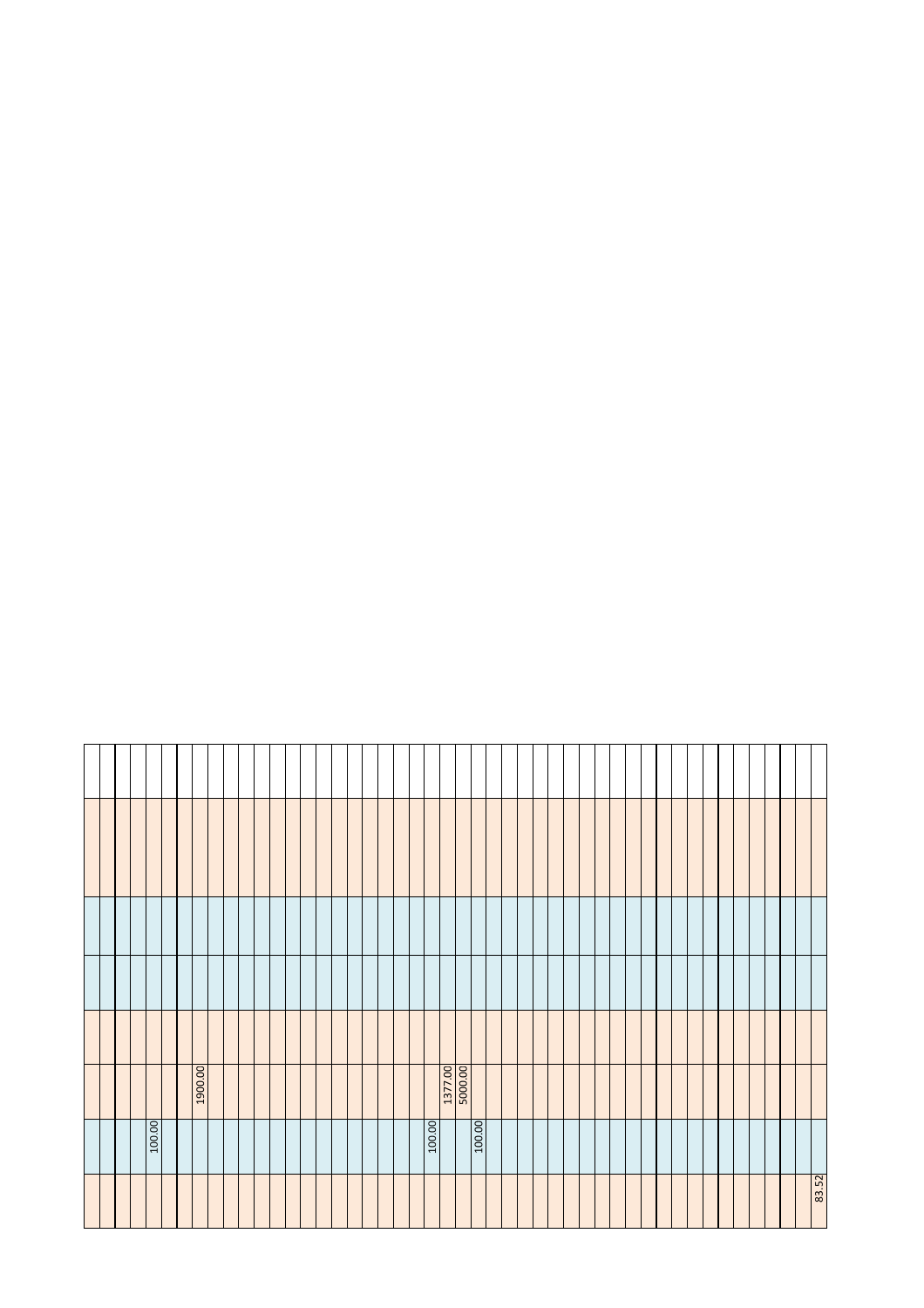|  |  |        |  | 1900.00 |  |  |  |  |  |  |  |        | 1377.00 |        |  |  |  |  |  |  |  |  |  |  |       |
|--|--|--------|--|---------|--|--|--|--|--|--|--|--------|---------|--------|--|--|--|--|--|--|--|--|--|--|-------|
|  |  | 100.00 |  |         |  |  |  |  |  |  |  | 100.00 |         | 100.00 |  |  |  |  |  |  |  |  |  |  |       |
|  |  |        |  |         |  |  |  |  |  |  |  |        |         |        |  |  |  |  |  |  |  |  |  |  | 83.52 |